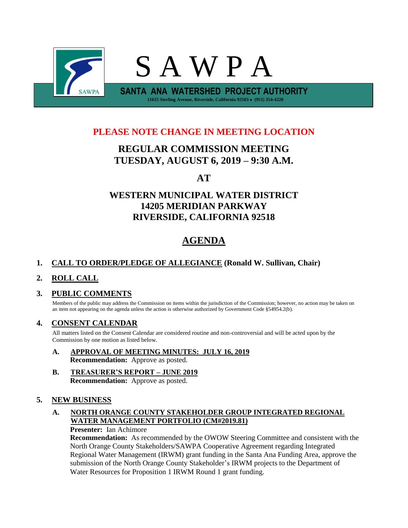

## **PLEASE NOTE CHANGE IN MEETING LOCATION**

# **REGULAR COMMISSION MEETING TUESDAY, AUGUST 6, 2019 – 9:30 A.M.**

# **AT**

# **WESTERN MUNICIPAL WATER DISTRICT 14205 MERIDIAN PARKWAY RIVERSIDE, CALIFORNIA 92518**

# **AGENDA**

## **1. CALL TO ORDER/PLEDGE OF ALLEGIANCE (Ronald W. Sullivan, Chair)**

## **2. ROLL CALL**

## **3. PUBLIC COMMENTS**

Members of the public may address the Commission on items within the jurisdiction of the Commission; however, no action may be taken on an item not appearing on the agenda unless the action is otherwise authorized by Government Code §54954.2(b).

## **4. CONSENT CALENDAR**

All matters listed on the Consent Calendar are considered routine and non-controversial and will be acted upon by the Commission by one motion as listed below.

- **A. APPROVAL OF MEETING MINUTES: JULY 16, 2019 Recommendation:** Approve as posted.
- **B. TREASURER'S REPORT – JUNE 2019 Recommendation:** Approve as posted.

## **5. NEW BUSINESS**

## **A. NORTH ORANGE COUNTY STAKEHOLDER GROUP INTEGRATED REGIONAL WATER MANAGEMENT PORTFOLIO (CM#2019.81)**

#### **Presenter:** Ian Achimore

**Recommendation:** As recommended by the OWOW Steering Committee and consistent with the North Orange County Stakeholders/SAWPA Cooperative Agreement regarding Integrated Regional Water Management (IRWM) grant funding in the Santa Ana Funding Area, approve the submission of the North Orange County Stakeholder's IRWM projects to the Department of Water Resources for Proposition 1 IRWM Round 1 grant funding.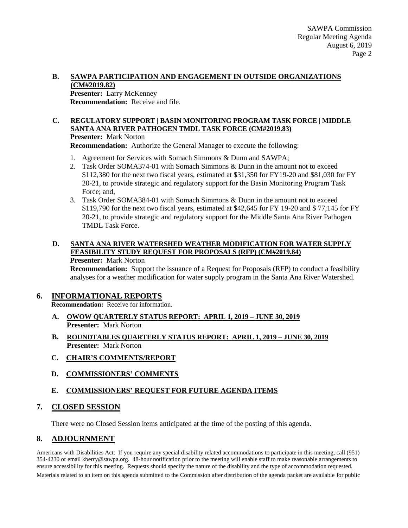#### **B. SAWPA PARTICIPATION AND ENGAGEMENT IN OUTSIDE ORGANIZATIONS (CM#2019.82)**

**Presenter:** Larry McKenney **Recommendation:** Receive and file.

### **C. REGULATORY SUPPORT | BASIN MONITORING PROGRAM TASK FORCE | MIDDLE SANTA ANA RIVER PATHOGEN TMDL TASK FORCE (CM#2019.83)**

**Presenter:** Mark Norton

**Recommendation:** Authorize the General Manager to execute the following:

- 1. Agreement for Services with Somach Simmons & Dunn and SAWPA;
- 2. Task Order SOMA374-01 with Somach Simmons & Dunn in the amount not to exceed \$112,380 for the next two fiscal years, estimated at \$31,350 for FY19-20 and \$81,030 for FY 20-21, to provide strategic and regulatory support for the Basin Monitoring Program Task Force; and,
- 3. Task Order SOMA384-01 with Somach Simmons & Dunn in the amount not to exceed \$119,790 for the next two fiscal years, estimated at \$42,645 for FY 19-20 and \$ 77,145 for FY 20-21, to provide strategic and regulatory support for the Middle Santa Ana River Pathogen TMDL Task Force.

#### **D. SANTA ANA RIVER WATERSHED WEATHER MODIFICATION FOR WATER SUPPLY FEASIBILITY STUDY REQUEST FOR PROPOSALS (RFP) (CM#2019.84) Presenter:** Mark Norton

**Recommendation:** Support the issuance of a Request for Proposals (RFP) to conduct a feasibility analyses for a weather modification for water supply program in the Santa Ana River Watershed.

## **6. INFORMATIONAL REPORTS**

**Recommendation:** Receive for information.

- **A. OWOW QUARTERLY STATUS REPORT: APRIL 1, 2019 – JUNE 30, 2019 Presenter:** Mark Norton
- **B. ROUNDTABLES QUARTERLY STATUS REPORT: APRIL 1, 2019 – JUNE 30, 2019 Presenter:** Mark Norton
- **C. CHAIR'S COMMENTS/REPORT**
- **D. COMMISSIONERS' COMMENTS**

## **E. COMMISSIONERS' REQUEST FOR FUTURE AGENDA ITEMS**

## **7. CLOSED SESSION**

There were no Closed Session items anticipated at the time of the posting of this agenda.

## **8. ADJOURNMENT**

Americans with Disabilities Act: If you require any special disability related accommodations to participate in this meeting, call (951) 354-4230 or email kberry@sawpa.org. 48-hour notification prior to the meeting will enable staff to make reasonable arrangements to ensure accessibility for this meeting. Requests should specify the nature of the disability and the type of accommodation requested. Materials related to an item on this agenda submitted to the Commission after distribution of the agenda packet are available for public